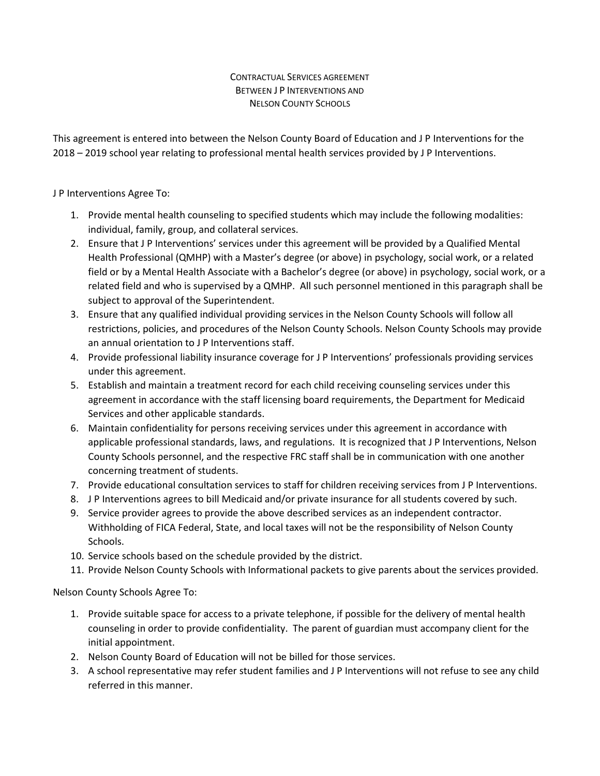## CONTRACTUAL SERVICES AGREEMENT BETWEEN J P INTERVENTIONS AND NELSON COUNTY SCHOOLS

This agreement is entered into between the Nelson County Board of Education and J P Interventions for the 2018 – 2019 school year relating to professional mental health services provided by J P Interventions.

## J P Interventions Agree To:

- 1. Provide mental health counseling to specified students which may include the following modalities: individual, family, group, and collateral services.
- 2. Ensure that J P Interventions' services under this agreement will be provided by a Qualified Mental Health Professional (QMHP) with a Master's degree (or above) in psychology, social work, or a related field or by a Mental Health Associate with a Bachelor's degree (or above) in psychology, social work, or a related field and who is supervised by a QMHP. All such personnel mentioned in this paragraph shall be subject to approval of the Superintendent.
- 3. Ensure that any qualified individual providing services in the Nelson County Schools will follow all restrictions, policies, and procedures of the Nelson County Schools. Nelson County Schools may provide an annual orientation to J P Interventions staff.
- 4. Provide professional liability insurance coverage for J P Interventions' professionals providing services under this agreement.
- 5. Establish and maintain a treatment record for each child receiving counseling services under this agreement in accordance with the staff licensing board requirements, the Department for Medicaid Services and other applicable standards.
- 6. Maintain confidentiality for persons receiving services under this agreement in accordance with applicable professional standards, laws, and regulations. It is recognized that J P Interventions, Nelson County Schools personnel, and the respective FRC staff shall be in communication with one another concerning treatment of students.
- 7. Provide educational consultation services to staff for children receiving services from J P Interventions.
- 8. J P Interventions agrees to bill Medicaid and/or private insurance for all students covered by such.
- 9. Service provider agrees to provide the above described services as an independent contractor. Withholding of FICA Federal, State, and local taxes will not be the responsibility of Nelson County Schools.
- 10. Service schools based on the schedule provided by the district.
- 11. Provide Nelson County Schools with Informational packets to give parents about the services provided.

Nelson County Schools Agree To:

- 1. Provide suitable space for access to a private telephone, if possible for the delivery of mental health counseling in order to provide confidentiality. The parent of guardian must accompany client for the initial appointment.
- 2. Nelson County Board of Education will not be billed for those services.
- 3. A school representative may refer student families and J P Interventions will not refuse to see any child referred in this manner.